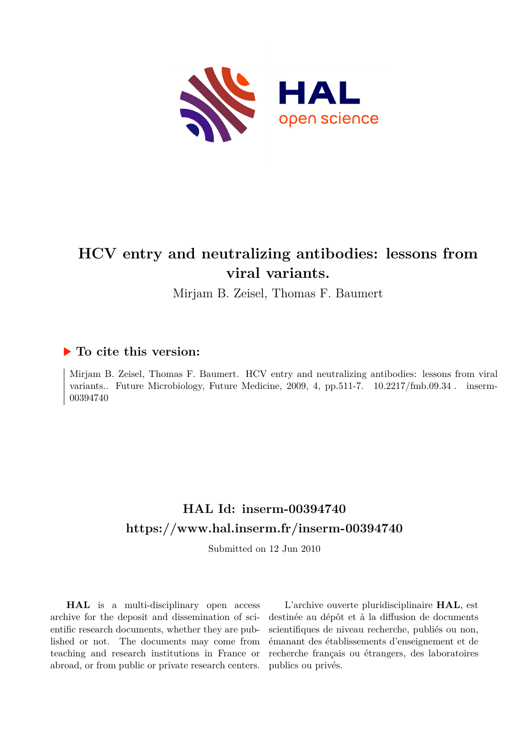

# **HCV entry and neutralizing antibodies: lessons from viral variants.**

Mirjam B. Zeisel, Thomas F. Baumert

# **To cite this version:**

Mirjam B. Zeisel, Thomas F. Baumert. HCV entry and neutralizing antibodies: lessons from viral variants.. Future Microbiology, Future Medicine, 2009, 4, pp.511-7.  $10.2217/fmb.09.34$ . inserm-00394740ff

# **HAL Id: inserm-00394740 <https://www.hal.inserm.fr/inserm-00394740>**

Submitted on 12 Jun 2010

**HAL** is a multi-disciplinary open access archive for the deposit and dissemination of scientific research documents, whether they are published or not. The documents may come from teaching and research institutions in France or abroad, or from public or private research centers.

L'archive ouverte pluridisciplinaire **HAL**, est destinée au dépôt et à la diffusion de documents scientifiques de niveau recherche, publiés ou non, émanant des établissements d'enseignement et de recherche français ou étrangers, des laboratoires publics ou privés.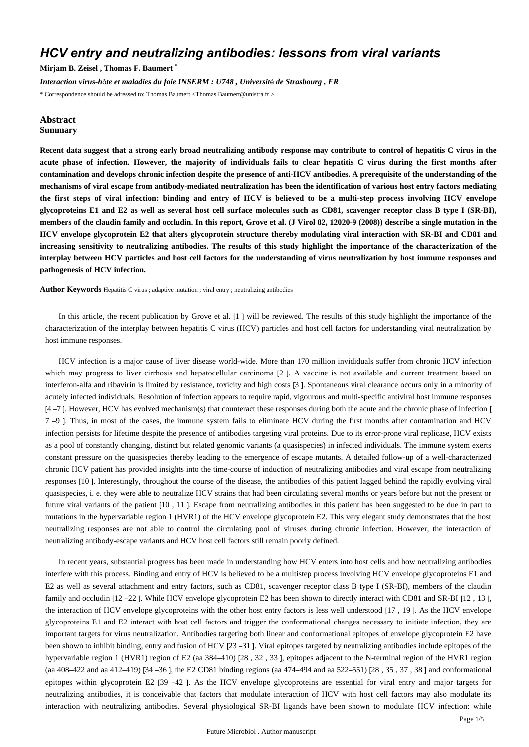# *HCV entry and neutralizing antibodies: lessons from viral variants*

**Mirjam B. Zeisel , Thomas F. Baumert** \*

*Interaction virus-h*ô*te et maladies du foie INSERM : U748 , Universit*é *de Strasbourg , FR*

\* Correspondence should be adressed to: Thomas Baumert <Thomas.Baumert@unistra.fr >

#### **Abstract Summary**

**Recent data suggest that a strong early broad neutralizing antibody response may contribute to control of hepatitis C virus in the acute phase of infection. However, the majority of individuals fails to clear hepatitis C virus during the first months after contamination and develops chronic infection despite the presence of anti-HCV antibodies. A prerequisite of the understanding of the mechanisms of viral escape from antibody-mediated neutralization has been the identification of various host entry factors mediating the first steps of viral infection: binding and entry of HCV is believed to be a multi-step process involving HCV envelope glycoproteins E1 and E2 as well as several host cell surface molecules such as CD81, scavenger receptor class B type I (SR-BI), members of the claudin family and occludin. In this report, Grove et al. (J Virol 82, 12020-9 (2008)) describe a single mutation in the HCV envelope glycoprotein E2 that alters glycoprotein structure thereby modulating viral interaction with SR-BI and CD81 and increasing sensitivity to neutralizing antibodies. The results of this study highlight the importance of the characterization of the interplay between HCV particles and host cell factors for the understanding of virus neutralization by host immune responses and pathogenesis of HCV infection.**

**Author Keywords** Hepatitis C virus ; adaptive mutation ; viral entry ; neutralizing antibodies

In this article, the recent publication by Grove et al. [1 ] will be reviewed. The results of this study highlight the importance of the characterization of the interplay between hepatitis C virus (HCV) particles and host cell factors for understanding viral neutralization by host immune responses.

HCV infection is a major cause of liver disease world-wide. More than 170 million invididuals suffer from chronic HCV infection which may progress to liver cirrhosis and hepatocellular carcinoma [2]. A vaccine is not available and current treatment based on interferon-alfa and ribavirin is limited by resistance, toxicity and high costs [3 ]. Spontaneous viral clearance occurs only in a minority of acutely infected individuals. Resolution of infection appears to require rapid, vigourous and multi-specific antiviral host immune responses [4 –7 ]. However, HCV has evolved mechanism(s) that counteract these responses during both the acute and the chronic phase of infection [ 7 –9 ]. Thus, in most of the cases, the immune system fails to eliminate HCV during the first months after contamination and HCV infection persists for lifetime despite the presence of antibodies targeting viral proteins. Due to its error-prone viral replicase, HCV exists as a pool of constantly changing, distinct but related genomic variants (a quasispecies) in infected individuals. The immune system exerts constant pressure on the quasispecies thereby leading to the emergence of escape mutants. A detailed follow-up of a well-characterized chronic HCV patient has provided insights into the time-course of induction of neutralizing antibodies and viral escape from neutralizing responses [10 ]. Interestingly, throughout the course of the disease, the antibodies of this patient lagged behind the rapidly evolving viral quasispecies, i. e. they were able to neutralize HCV strains that had been circulating several months or years before but not the present or future viral variants of the patient [10 , 11 ]. Escape from neutralizing antibodies in this patient has been suggested to be due in part to mutations in the hypervariable region 1 (HVR1) of the HCV envelope glycoprotein E2. This very elegant study demonstrates that the host neutralizing responses are not able to control the circulating pool of viruses during chronic infection. However, the interaction of neutralizing antibody-escape variants and HCV host cell factors still remain poorly defined.

In recent years, substantial progress has been made in understanding how HCV enters into host cells and how neutralizing antibodies interfere with this process. Binding and entry of HCV is believed to be a multistep process involving HCV envelope glycoproteins E1 and E2 as well as several attachment and entry factors, such as CD81, scavenger receptor class B type I (SR-BI), members of the claudin family and occludin [12 –22 ]. While HCV envelope glycoprotein E2 has been shown to directly interact with CD81 and SR-BI [12 , 13 ], the interaction of HCV envelope glycoproteins with the other host entry factors is less well understood [17 , 19 ]. As the HCV envelope glycoproteins E1 and E2 interact with host cell factors and trigger the conformational changes necessary to initiate infection, they are important targets for virus neutralization. Antibodies targeting both linear and conformational epitopes of envelope glycoprotein E2 have been shown to inhibit binding, entry and fusion of HCV [23 –31 ]. Viral epitopes targeted by neutralizing antibodies include epitopes of the hypervariable region 1 (HVR1) region of E2 (aa 384–410) [28 , 32 , 33 ], epitopes adjacent to the N-terminal region of the HVR1 region (aa 408–422 and aa 412–419) [34 –36 ], the E2 CD81 binding regions (aa 474–494 and aa 522–551) [28 , 35 , 37 , 38 ] and conformational epitopes within glycoprotein E2 [39 –42 ]. As the HCV envelope glycoproteins are essential for viral entry and major targets for neutralizing antibodies, it is conceivable that factors that modulate interaction of HCV with host cell factors may also modulate its interaction with neutralizing antibodies. Several physiological SR-BI ligands have been shown to modulate HCV infection: while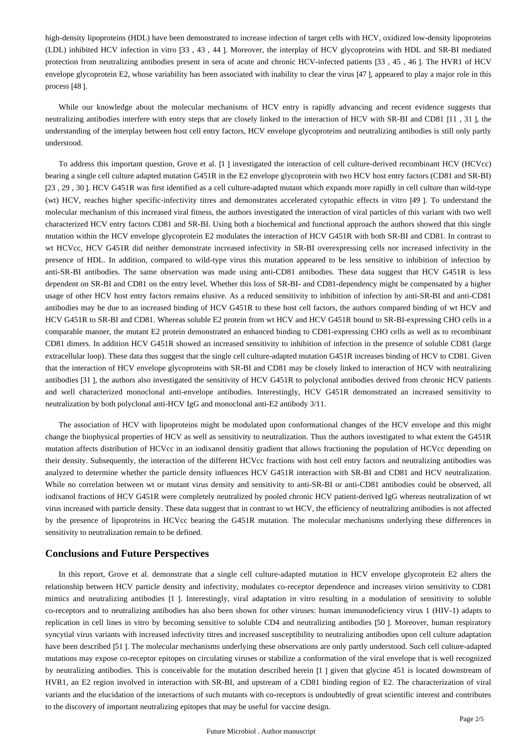high-density lipoproteins (HDL) have been demonstrated to increase infection of target cells with HCV, oxidized low-density lipoproteins (LDL) inhibited HCV infection in vitro [33 , 43 , 44 ]. Moreover, the interplay of HCV glycoproteins with HDL and SR-BI mediated protection from neutralizing antibodies present in sera of acute and chronic HCV-infected patients [33 , 45 , 46 ]. The HVR1 of HCV envelope glycoprotein E2, whose variability has been associated with inability to clear the virus [47 ], appeared to play a major role in this process [48 ].

While our knowledge about the molecular mechanisms of HCV entry is rapidly advancing and recent evidence suggests that neutralizing antibodies interfere with entry steps that are closely linked to the interaction of HCV with SR-BI and CD81 [11 , 31 ], the understanding of the interplay between host cell entry factors, HCV envelope glycoproteins and neutralizing antibodies is still only partly understood.

To address this important question, Grove et al. [1 ] investigated the interaction of cell culture-derived recombinant HCV (HCVcc) bearing a single cell culture adapted mutation G451R in the E2 envelope glycoprotein with two HCV host entry factors (CD81 and SR-BI) [23 , 29 , 30 ]. HCV G451R was first identified as a cell culture-adapted mutant which expands more rapidly in cell culture than wild-type (wt) HCV, reaches higher specific-infectivity titres and demonstrates accelerated cytopathic effects in vitro [49 ]. To understand the molecular mechanism of this increased viral fitness, the authors investigated the interaction of viral particles of this variant with two well characterized HCV entry factors CD81 and SR-BI. Using both a biochemical and functional approach the authors showed that this single mutation within the HCV envelope glycoprotein E2 modulates the interaction of HCV G451R with both SR-BI and CD81. In contrast to wt HCVcc, HCV G451R did neither demonstrate increased infectivity in SR-BI overexpressing cells nor increased infectivity in the presence of HDL. In addition, compared to wild-type virus this mutation appeared to be less sensitive to inhibition of infection by anti-SR-BI antibodies. The same observation was made using anti-CD81 antibodies. These data suggest that HCV G451R is less dependent on SR-BI and CD81 on the entry level. Whether this loss of SR-BI- and CD81-dependency might be compensated by a higher usage of other HCV host entry factors remains elusive. As a reduced sensitivity to inhibition of infection by anti-SR-BI and anti-CD81 antibodies may be due to an increased binding of HCV G451R to these host cell factors, the authors compared binding of wt HCV and HCV G451R to SR-BI and CD81. Whereas soluble E2 protein from wt HCV and HCV G451R bound to SR-BI-expressing CHO cells in a comparable manner, the mutant E2 protein demonstrated an enhanced binding to CD81-expressing CHO cells as well as to recombinant CD81 dimers. In addition HCV G451R showed an increased sensitivity to inhibition of infection in the presence of soluble CD81 (large extracellular loop). These data thus suggest that the single cell culture-adapted mutation G451R increases binding of HCV to CD81. Given that the interaction of HCV envelope glycoproteins with SR-BI and CD81 may be closely linked to interaction of HCV with neutralizing antibodies [31 ], the authors also investigated the sensitivity of HCV G451R to polyclonal antibodies derived from chronic HCV patients and well characterized monoclonal anti-envelope antibodies. Interestingly, HCV G451R demonstrated an increased sensitivity to neutralization by both polyclonal anti-HCV IgG and monoclonal anti-E2 antibody 3/11.

The association of HCV with lipoproteins might be modulated upon conformational changes of the HCV envelope and this might change the biophysical properties of HCV as well as sensitivity to neutralization. Thus the authors investigated to what extent the G451R mutation affects distribution of HCVcc in an iodixanol densitiy gradient that allows fractioning the population of HCVcc depending on their density. Subsequently, the interaction of the different HCVcc fractions with host cell entry factors and neutralizing antibodies was analyzed to determine whether the particle density influences HCV G451R interaction with SR-BI and CD81 and HCV neutralization. While no correlation between wt or mutant virus density and sensitivity to anti-SR-BI or anti-CD81 antibodies could be observed, all iodixanol fractions of HCV G451R were completely neutralized by pooled chronic HCV patient-derived IgG whereas neutralization of wt virus increased with particle density. These data suggest that in contrast to wt HCV, the efficiency of neutralizing antibodies is not affected by the presence of lipoproteins in HCVcc bearing the G451R mutation. The molecular mechanisms underlying these differences in sensitivity to neutralization remain to be defined.

### **Conclusions and Future Perspectives**

In this report, Grove et al. demonstrate that a single cell culture-adapted mutation in HCV envelope glycoprotein E2 alters the relationship between HCV particle density and infectivity, modulates co-receptor dependence and increases virion sensitivity to CD81 mimics and neutralizing antibodies [1 ]. Interestingly, viral adaptation in vitro resulting in a modulation of sensitivity to soluble co-receptors and to neutralizing antibodies has also been shown for other viruses: human immunodeficiency virus 1 (HIV-1) adapts to replication in cell lines in vitro by becoming sensitive to soluble CD4 and neutralizing antibodies [50 ]. Moreover, human respiratory syncytial virus variants with increased infectivity titres and increased susceptibility to neutralizing antibodies upon cell culture adaptation have been described [51 ]. The molecular mechanisms underlying these observations are only partly understood. Such cell culture-adapted mutations may expose co-receptor epitopes on circulating viruses or stabilize a conformation of the viral envelope that is well recognized by neutralizing antibodies. This is conceivable for the mutation described herein [1 ] given that glycine 451 is located downstream of HVR1, an E2 region involved in interaction with SR-BI, and upstream of a CD81 binding region of E2. The characterization of viral variants and the elucidation of the interactions of such mutants with co-receptors is undoubtedly of great scientific interest and contributes to the discovery of important neutralizing epitopes that may be useful for vaccine design.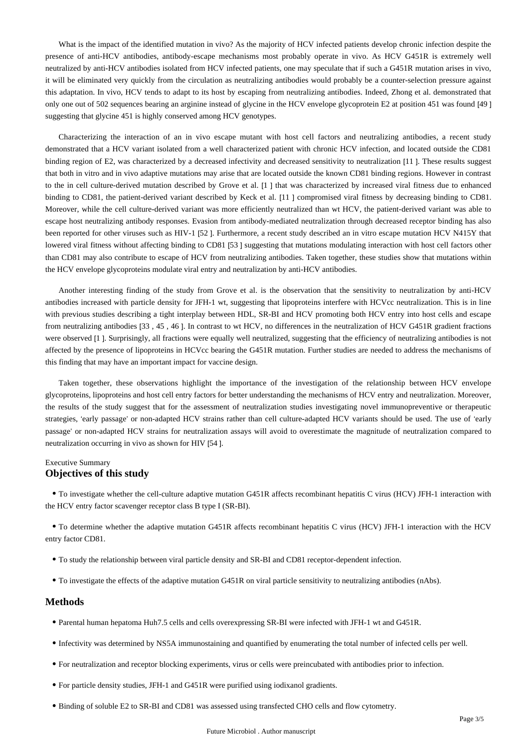What is the impact of the identified mutation in vivo? As the majority of HCV infected patients develop chronic infection despite the presence of anti-HCV antibodies, antibody-escape mechanisms most probably operate in vivo. As HCV G451R is extremely well neutralized by anti-HCV antibodies isolated from HCV infected patients, one may speculate that if such a G451R mutation arises in vivo, it will be eliminated very quickly from the circulation as neutralizing antibodies would probably be a counter-selection pressure against this adaptation. In vivo, HCV tends to adapt to its host by escaping from neutralizing antibodies. Indeed, Zhong et al. demonstrated that only one out of 502 sequences bearing an arginine instead of glycine in the HCV envelope glycoprotein E2 at position 451 was found [49 ] suggesting that glycine 451 is highly conserved among HCV genotypes.

Characterizing the interaction of an in vivo escape mutant with host cell factors and neutralizing antibodies, a recent study demonstrated that a HCV variant isolated from a well characterized patient with chronic HCV infection, and located outside the CD81 binding region of E2, was characterized by a decreased infectivity and decreased sensitivity to neutralization [11]. These results suggest that both in vitro and in vivo adaptive mutations may arise that are located outside the known CD81 binding regions. However in contrast to the in cell culture-derived mutation described by Grove et al. [1 ] that was characterized by increased viral fitness due to enhanced binding to CD81, the patient-derived variant described by Keck et al. [11 ] compromised viral fitness by decreasing binding to CD81. Moreover, while the cell culture-derived variant was more efficiently neutralized than wt HCV, the patient-derived variant was able to escape host neutralizing antibody responses. Evasion from antibody-mediated neutralization through decreased receptor binding has also been reported for other viruses such as HIV-1 [52 ]. Furthermore, a recent study described an in vitro escape mutation HCV N415Y that lowered viral fitness without affecting binding to CD81 [53 ] suggesting that mutations modulating interaction with host cell factors other than CD81 may also contribute to escape of HCV from neutralizing antibodies. Taken together, these studies show that mutations within the HCV envelope glycoproteins modulate viral entry and neutralization by anti-HCV antibodies.

Another interesting finding of the study from Grove et al. is the observation that the sensitivity to neutralization by anti-HCV antibodies increased with particle density for JFH-1 wt, suggesting that lipoproteins interfere with HCVcc neutralization. This is in line with previous studies describing a tight interplay between HDL, SR-BI and HCV promoting both HCV entry into host cells and escape from neutralizing antibodies [33 , 45 , 46 ]. In contrast to wt HCV, no differences in the neutralization of HCV G451R gradient fractions were observed [1 ]. Surprisingly, all fractions were equally well neutralized, suggesting that the efficiency of neutralizing antibodies is not affected by the presence of lipoproteins in HCVcc bearing the G451R mutation. Further studies are needed to address the mechanisms of this finding that may have an important impact for vaccine design.

Taken together, these observations highlight the importance of the investigation of the relationship between HCV envelope glycoproteins, lipoproteins and host cell entry factors for better understanding the mechanisms of HCV entry and neutralization. Moreover, the results of the study suggest that for the assessment of neutralization studies investigating novel immunopreventive or therapeutic strategies, 'early passage' or non-adapted HCV strains rather than cell culture-adapted HCV variants should be used. The use of 'early passage' or non-adapted HCV strains for neutralization assays will avoid to overestimate the magnitude of neutralization compared to neutralization occurring in vivo as shown for HIV [54 ].

## Executive Summary **Objectives of this study**

To investigate whether the cell-culture adaptive mutation G451R affects recombinant hepatitis C virus (HCV) JFH-1 interaction with the HCV entry factor scavenger receptor class B type I (SR-BI).

To determine whether the adaptive mutation G451R affects recombinant hepatitis C virus (HCV) JFH-1 interaction with the HCV entry factor CD81.

- To study the relationship between viral particle density and SR-BI and CD81 receptor-dependent infection.
- To investigate the effects of the adaptive mutation G451R on viral particle sensitivity to neutralizing antibodies (nAbs).

### **Methods**

- Parental human hepatoma Huh7.5 cells and cells overexpressing SR-BI were infected with JFH-1 wt and G451R.
- Infectivity was determined by NS5A immunostaining and quantified by enumerating the total number of infected cells per well.
- For neutralization and receptor blocking experiments, virus or cells were preincubated with antibodies prior to infection.
- For particle density studies, JFH-1 and G451R were purified using iodixanol gradients.
- Binding of soluble E2 to SR-BI and CD81 was assessed using transfected CHO cells and flow cytometry.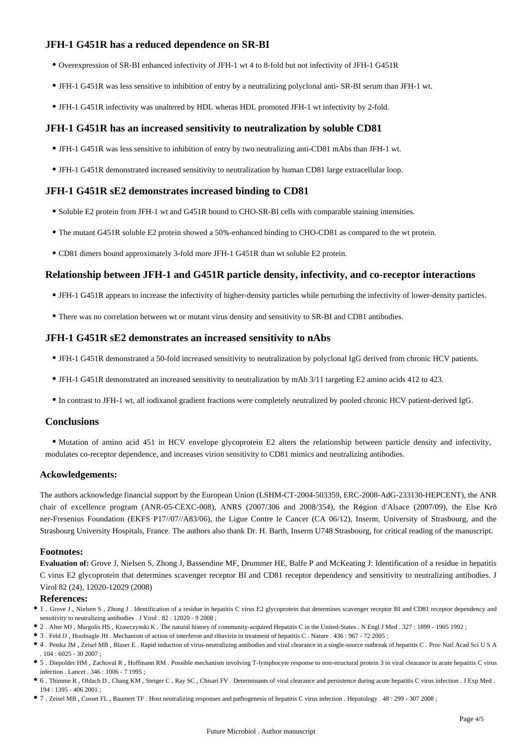# **JFH-1 G451R has a reduced dependence on SR-BI**

- Overexpression of SR-BI enhanced infectivity of JFH-1 wt 4 to 8-fold but not infectivity of JFH-1 G451R
- JFH-1 G451R was less sensitive to inhibition of entry by a neutralizing polyclonal anti- SR-BI serum than JFH-1 wt.
- JFH-1 G451R infectivity was unaltered by HDL wheras HDL promoted JFH-1 wt infectivity by 2-fold.

## **JFH-1 G451R has an increased sensitivity to neutralization by soluble CD81**

- JFH-1 G451R was less sensitive to inhibition of entry by two neutralizing anti-CD81 mAbs than JFH-1 wt.
- JFH-1 G451R demonstrated increased sensitivity to neutralization by human CD81 large extracellular loop.

# **JFH-1 G451R sE2 demonstrates increased binding to CD81**

- Soluble E2 protein from JFH-1 wt and G451R bound to CHO-SR-BI cells with comparable staining intensities.
- The mutant G451R soluble E2 protein showed a 50%-enhanced binding to CHO-CD81 as compared to the wt protein.
- CD81 dimers bound approximately 3-fold more JFH-1 G451R than wt soluble E2 protein.

# **Relationship between JFH-1 and G451R particle density, infectivity, and co-receptor interactions**

- JFH-1 G451R appears to increase the infectivity of higher-density particles while perturbing the infectivity of lower-density particles.
- There was no correlation between wt or mutant virus density and sensitivity to SR-BI and CD81 antibodies.

# **JFH-1 G451R sE2 demonstrates an increased sensitivity to nAbs**

- JFH-1 G451R demonstrated a 50-fold increased sensitivity to neutralization by polyclonal IgG derived from chronic HCV patients.
- JFH-1 G451R demonstrated an increased sensitivity to neutralization by mAb 3/11 targeting E2 amino acids 412 to 423.
- In contrast to JFH-1 wt, all iodixanol gradient fractions were completely neutralized by pooled chronic HCV patient-derived IgG.

### **Conclusions**

Mutation of amino acid 451 in HCV envelope glycoprotein E2 alters the relationship between particle density and infectivity, modulates co-receptor dependence, and increases virion sensitivity to CD81 mimics and neutralizing antibodies.

### **Ackowledgements:**

The authors acknowledge financial support by the European Union (LSHM-CT-2004-503359, ERC-2008-AdG-233130-HEPCENT), the ANR chair of excellence program (ANR-05-CEXC-008), ANRS (2007/306 and 2008/354), the Région d'Alsace (2007/09), the Else Krö ner-Fresenius Foundation (EKFS P17//07//A83/06), the Ligue Contre le Cancer (CA 06/12), Inserm, University of Strasbourg, and the Strasbourg University Hospitals, France. The authors also thank Dr. H. Barth, Inserm U748 Strasbourg, for critical reading of the manuscript.

### **Footnotes:**

**Evaluation of:** Grove J, Nielsen S, Zhong J, Bassendine MF, Drummer HE, Balfe P and McKeating J: Identification of a residue in hepatitis C virus E2 glycoprotein that determines scavenger receptor BI and CD81 receptor dependency and sensitivity to neutralizing antibodies. J Virol 82 (24), 12020-12029 (2008)

#### **References:**

- 1 . Grove J , Nielsen S , Zhong J . Identification of a residue in hepatitis C virus E2 glycoprotein that determines scavenger receptor BI and CD81 receptor dependency and sensitivity to neutralizing antibodies . J Virol . 82 : 12020 - 9 2008 ;
- 2 . Alter MJ , Margolis HS , Krawczynski K . The natural history of community-acquired Hepatitis C in the United-States . N Engl J Med . 327 : 1899 1905 1992 ;
- 3 . Feld JJ , Hoofnagle JH . Mechanism of action of interferon and ribavirin in treatment of hepatitis C . Nature . 436 : 967 72 2005 ;
- 4 . Pestka JM , Zeisel MB , Blaser E . Rapid induction of virus-neutralizing antibodies and viral clearance in a single-source outbreak of hepatitis C . Proc Natl Acad Sci U S A . 104 : 6025 - 30 2007 ;
- 5 . Diepolder HM , Zachoval R , Hoffmann RM . Possible mechanism involving T-lymphocyte response to non-structural protein 3 in viral clearance in acute hepatitis C virus infection . Lancet . 346 : 1006 - 7 1995 ;
- 6 . Thimme R , Oldach D , Chang KM , Steiger C , Ray SC , Chisari FV . Determinants of viral clearance and persistence during acute hepatitis C virus infection . J Exp Med . 194 : 1395 - 406 2001 ;
- 7 . Zeisel MB , Cosset FL , Baumert TF . Host neutralizing responses and pathogenesis of hepatitis C virus infection . Hepatology . 48 : 299 307 2008 ;